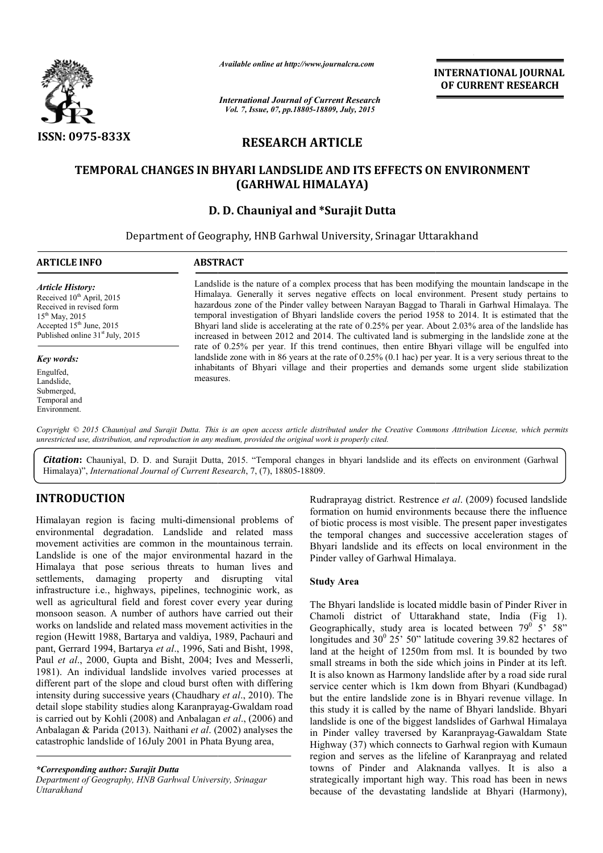

*Available online at http://www.journalcra.com*

*International Journal of Current Research Vol. 7, Issue, 07, pp.18805-18809, July, 2015*

INTERNATIONAL INTERNATIONAL JOURNAL OF CURRENT RESEARCH

# RESEARCH ARTICLE

# TEMPORAL CHANGES IN BHYARI LANDSLIDE AND ITS EFFECTS ON ENVIRONMENT (GARHWAL HIMALAYA)

# D. D. Chauniyal and \*Surajit Dutta

Department of Geography, HNB Garhwal University, Srinagar Uttarakhand 1

## ARTICLE INFO ABSTRACT

*Article History:* Received 10<sup>th</sup> April, 2015 Received in revised form 15th May, 2015 Accepted 15<sup>th</sup> June, 2015 Published online 31<sup>st</sup> July, 2015

#### *Key words:*

Engulfed, Landslide, Submerged, Temporal and Environment.

Landslide is the nature of a complex process that has been modifying the mountain landscape in the Himalaya. Generally it serves negative effects on local environment. Present study pertains to hazardous zone of the Pinder valley between Narayan Baggad to Tharali in Garhwal Himalaya. The temporal investigation of Bhyari landslide covers the period 1958 to 2014. It is estimated that Bhyari land slide is accelerating at the rate of 0.25% per year. About 2.03% area of the landslide has increased in between 2012 and 2014. The cultivated land is submerging in the landslide zone at the rate of 0.25% per year. If this trend continues, then entire Bhyari village will be engulfed into landslide zone with in 86 years at the rate of 0.25% (0.1 hac) per year. It is a very serious threat to the Bhyari land slide is accelerating at the rate of 0.25% per year. About 2.03% area of the landslide has increased in between 2012 and 2014. The cultivated land is submerging in the landslide zone at the rate of 0.25% per ye measures. is the nature of a complex process that has been modifying the mountain landscape in the<br>
Consecuently it serves negative effects on local environment. Present study pertains to<br>
is zone of the Pinder valley between Naraya

Copyright © 2015 Chauniyal and Surajit Dutta. This is an open access article distributed under the Creative Commons Attribution License, which permits *unrestricted use, distribution, and reproduction in any medium, provided the original work is pr properly cited.*

Citation: Chauniyal, D. D. and Surajit Dutta, 2015. "Temporal changes in bhyari landslide and its effects on environment (Garhwal Himalaya)", *International Journal of Current Research* , 7, (7), 18805-18809.

# INTRODUCTION

Himalayan region is facing multi-dimensional problems of environmental degradation. Landslide and related mass movement activities are common in the mountainous terrain. Landslide is one of the major environmental hazard in the Himalaya that pose serious threats to human lives and settlements, damaging property and disrupting vital infrastructure i.e., highways, pipelines, technoginic work, as well as agricultural field and forest cover every year during monsoon season. A number of authors have carried out their works on landslide and related mass movement activities in the region (Hewitt 1988, Bartarya and valdiya, 1989, Pachauri and pant, Gerrard 1994, Bartarya et al., 1996, Sati and Bisht, 1998, Paul *et al*., 2000, Gupta and Bisht, 2004; Ives and Messerli, 1981). An individual landslide involves varied processes at different part of the slope and cloud burst often with differing intensity during successive years (Chaudhary *et al*., 2010). The detail slope stability studies along Karanprayag-Gwaldam road is carried out by Kohli (2008) and Anbalagan *et al*., (2006) and Anbalagan & Parida (2013). Naithani *et al*. (2002) analyses the catastrophic landslide of 16July 2001 in Phata Byung area, dimensional problems of<br>slide and related mass<br>it the mountainous terrain.<br>irionmental hazard in the<br>tus to human lives and<br>and disrupting vital<br>nes, technoginic work, as<br>t cover every year during

*\*Corresponding author: Surajit Dutta Department of Geography, HNB Garhwal University, Srinagar Uttarakhand*

Rudraprayag district. Restrence *et al*. (2009) focused landslide formation on humid environments because there the influence of biotic process is most visible. The present paper investigates the temporal changes and successive acceleration stages of the temporal changes and successive acceleration stages of Bhyari landslide and its effects on local environment in the Pinder valley of Garhwal Himalaya.

## Study Area

The Bhyari landslide is located middle basin of Pinder River in Chamoli district of Uttarakhand state, India (Fig 1). Pinder valley of Garhwal Himalaya.<br> **Study Area**<br>
The Bhyari landslide is located middle basin of Pinder River in<br>
Chamoli district of Uttarakhand state, India (Fig 1).<br>
Geographically, study area is located between 79<sup>0</sup> longitudes and  $30^{\circ}$  25' 50" latitude covering 39.82 hectares of land at the height of 1250m from msl. It is bounded by two small streams in both the side which joins in Pinder at its left. It is also known as Harmony landslide after by a road side rural service center which is 1km down from Bhyari (Kundbagad) but the entire landslide zone is in Bhyari revenue village. In this study it is called by the name of Bhyari landslide. Bhyari landslide is one of the biggest landslides of Garhwal Himalaya in Pinder valley traversed by Karanprayag-Gawaldam State Highway (37) which connects to Garhwal region with Kumaun region and serves as the lifeline of Karanprayag and related towns of Pinder and Alaknanda vallyes. It is also a strategically important high way. This road has been in because of the devastating landslide at Bhyari (Harmony), land at the height of 1250m from msl. It is bounded by two small streams in both the side which joins in Pinder at its left. It is also known as Harmony landslide after by a road side rural service center which is 1km down (37) which connects to Garhwal region with Kumaun<br>d serves as the lifeline of Karanprayag and related<br>f Pinder and Alaknanda vallyes. It is also a<br>lly important high way. This road has been in news **ATIONAL JOURNAL**<br> **RENT RESEARCH**<br> **RENT RESEARCH**<br> **RENT RESEARCH**<br> **Present study pertains to Garbwall Himalaya . The original final of**  $\alpha$  **area of the landslide has<br>**  $\alpha$  **area of the landslide taxe at the landslide i**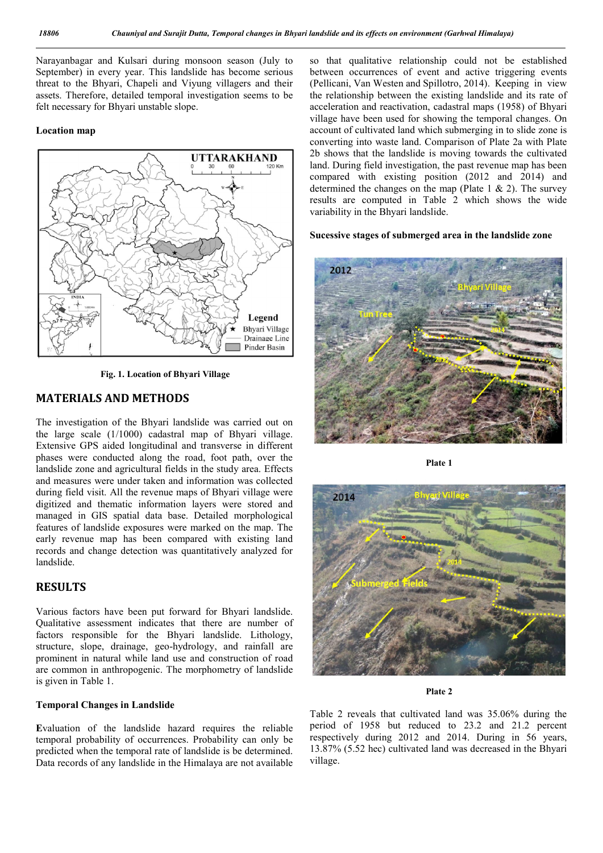Narayanbagar and Kulsari during monsoon season (July to September) in every year. This landslide has become serious threat to the Bhyari, Chapeli and Viyung villagers and their assets. Therefore, detailed temporal investigation seems to be felt necessary for Bhyari unstable slope.

## Location map



Fig. 1. Location of Bhyari Village

# MATERIALS AND METHODS

The investigation of the Bhyari landslide was carried out on the large scale (1/1000) cadastral map of Bhyari village. Extensive GPS aided longitudinal and transverse in different phases were conducted along the road, foot path, over the landslide zone and agricultural fields in the study area. Effects and measures were under taken and information was collected during field visit. All the revenue maps of Bhyari village were digitized and thematic information layers were stored and managed in GIS spatial data base. Detailed morphological features of landslide exposures were marked on the map. The early revenue map has been compared with existing land records and change detection was quantitatively analyzed for landslide.

## **RESULTS**

Various factors have been put forward for Bhyari landslide. Qualitative assessment indicates that there are number of factors responsible for the Bhyari landslide. Lithology, structure, slope, drainage, geo-hydrology, and rainfall are prominent in natural while land use and construction of road are common in anthropogenic. The morphometry of landslide is given in Table 1.

## Temporal Changes in Landslide

Evaluation of the landslide hazard requires the reliable temporal probability of occurrences. Probability can only be predicted when the temporal rate of landslide is be determined. Data records of any landslide in the Himalaya are not available

so that qualitative relationship could not be established between occurrences of event and active triggering events (Pellicani, Van Westen and Spillotro, 2014). Keeping in view the relationship between the existing landslide and its rate of acceleration and reactivation, cadastral maps (1958) of Bhyari village have been used for showing the temporal changes. On account of cultivated land which submerging in to slide zone is converting into waste land. Comparison of Plate 2a with Plate 2b shows that the landslide is moving towards the cultivated land. During field investigation, the past revenue map has been compared with existing position (2012 and 2014) and determined the changes on the map (Plate  $1 \& 2$ ). The survey results are computed in Table 2 which shows the wide variability in the Bhyari landslide.

## Sucessive stages of submerged area in the landslide zone



Plate 1



#### Plate 2

Table 2 reveals that cultivated land was 35.06% during the period of 1958 but reduced to 23.2 and 21.2 percent respectively during 2012 and 2014. During in 56 years, 13.87% (5.52 hec) cultivated land was decreased in the Bhyari village.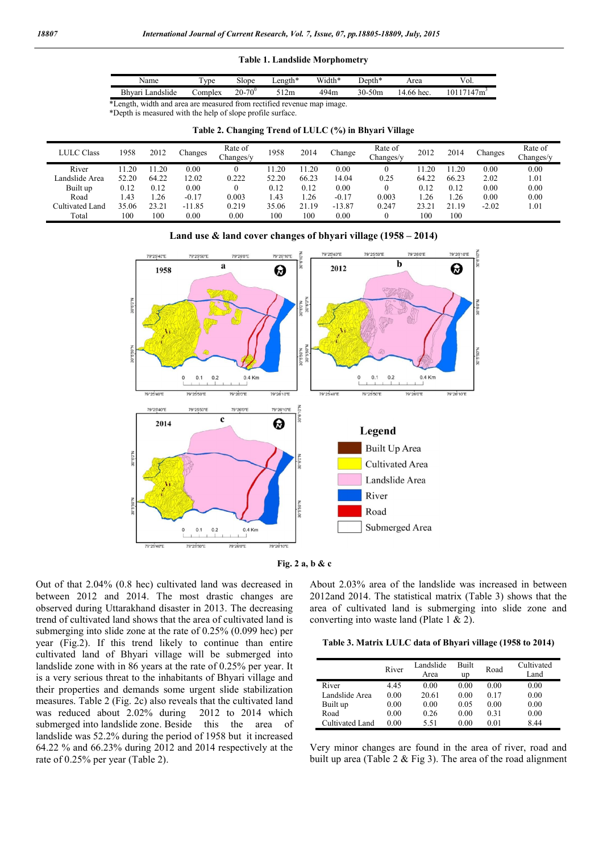## Table 1. Landslide Morphometry

| Name                                                                   | $TV$ pe | Slope             | ength* | Width* | Denth*     | Area       | Vol.      |  |
|------------------------------------------------------------------------|---------|-------------------|--------|--------|------------|------------|-----------|--|
| Bhvari Landslide                                                       | `omnlex | $20 - 70^{\circ}$ | 512m   | 494m   | $30 - 50m$ | 14.66 hec. | 10117147m |  |
| *Length, width and area are measured from rectified revenue map image. |         |                   |        |        |            |            |           |  |

\*Depth is measured with the help of slope profile surface.

|  |  | Table 2. Changing Trend of LULC (%) in Bhyari Village |
|--|--|-------------------------------------------------------|
|  |  |                                                       |

| <b>LULC Class</b> | 1958  | 2012  | Changes  | Rate of<br>Changes/y | 1958  | 2014  | Change   | Rate of<br>hanges/v_ | 2012  | 2014  | Changes | Rate of<br>hanges/y |
|-------------------|-------|-------|----------|----------------------|-------|-------|----------|----------------------|-------|-------|---------|---------------------|
| River             | 1.20  | 20    | 0.00     |                      | 1.20  | 1.20  | 0.00     |                      | .20   | 1.20  | 0.00    | 0.00                |
| andslide Area     | 52.20 | 64.22 | 12.02    | 0.222                | 52.20 | 66.23 | 4.04     | 0.25                 | 64.22 | 66.23 | 2.02    | 1.01                |
| Built up          | 0.12  | 0.12  | 0.00     |                      | 0.12  | 0.12  | 0.00     |                      | 0.12  | 0.12  | 0.00    | 0.00                |
| Road              | .43   | .26   | $-0.17$  | 0.003                | .43   | .26   | $-0.17$  | 0.003                | .26   | . 26  | 0.00    | 0.00                |
| Cultivated Land   | 35.06 | 23.21 | $-11.85$ | 0.219                | 35.06 | 21.19 | $-13.87$ | 0.247                | 23.21 | 21.19 | $-2.02$ | .01                 |
| Total             | 100   | 100   | 0.00     | 0.00                 | 100   | 100   | 0.00     |                      | 100   | 100   |         |                     |







Out of that 2.04% (0.8 hec) cultivated land was decreased in between 2012 and 2014. The most drastic changes are observed during Uttarakhand disaster in 2013. The decreasing trend of cultivated land shows that the area of cultivated land is submerging into slide zone at the rate of 0.25% (0.099 hec) per year (Fig.2). If this trend likely to continue than entire cultivated land of Bhyari village will be submerged into landslide zone with in 86 years at the rate of 0.25% per year. It is a very serious threat to the inhabitants of Bhyari village and their properties and demands some urgent slide stabilization measures. Table 2 (Fig. 2c) also reveals that the cultivated land was reduced about 2.02% during 2012 to 2014 which submerged into landslide zone. Beside this the area of landslide was 52.2% during the period of 1958 but it increased 64.22 % and 66.23% during 2012 and 2014 respectively at the rate of 0.25% per year (Table 2).

About 2.03% area of the landslide was increased in between 2012and 2014. The statistical matrix (Table 3) shows that the area of cultivated land is submerging into slide zone and converting into waste land (Plate 1 & 2).

Table 3. Matrix LULC data of Bhyari village (1958 to 2014)

|                 | River | Landslide<br>Area | Built<br>up | Road | Cultivated<br>Land |
|-----------------|-------|-------------------|-------------|------|--------------------|
| River           | 4.45  | 0.00              | 0.00        | 0.00 | 0.00               |
| Landslide Area  | 0.00  | 20.61             | 0.00        | 0.17 | 0.00               |
| Built up        | 0.00  | 0.00              | 0.05        | 0.00 | 0.00               |
| Road            | 0.00  | 0.26              | 0.00        | 0.31 | 0.00               |
| Cultivated Land | 0.00  | 5.51              | 0.00        | 0.01 | 8.44               |

Very minor changes are found in the area of river, road and built up area (Table 2 & Fig 3). The area of the road alignment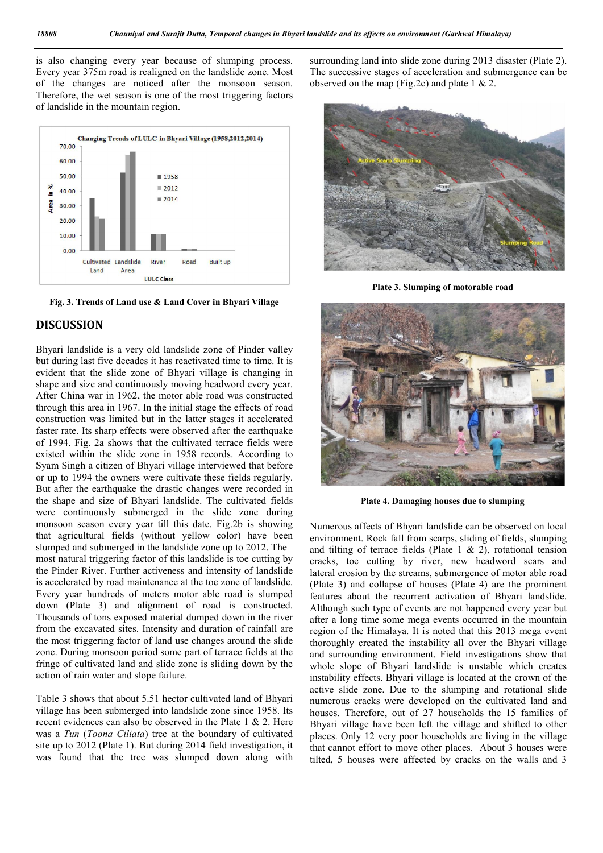is also changing every year because of slumping process. Every year 375m road is realigned on the landslide zone. Most of the changes are noticed after the monsoon season. Therefore, the wet season is one of the most triggering factors of landslide in the mountain region.





## DISCUSSION

Bhyari landslide is a very old landslide zone of Pinder valley but during last five decades it has reactivated time to time. It is evident that the slide zone of Bhyari village is changing in shape and size and continuously moving headword every year. After China war in 1962, the motor able road was constructed through this area in 1967. In the initial stage the effects of road construction was limited but in the latter stages it accelerated faster rate. Its sharp effects were observed after the earthquake of 1994. Fig. 2a shows that the cultivated terrace fields were existed within the slide zone in 1958 records. According to Syam Singh a citizen of Bhyari village interviewed that before or up to 1994 the owners were cultivate these fields regularly. But after the earthquake the drastic changes were recorded in the shape and size of Bhyari landslide. The cultivated fields were continuously submerged in the slide zone during monsoon season every year till this date. Fig.2b is showing that agricultural fields (without yellow color) have been slumped and submerged in the landslide zone up to 2012. The most natural triggering factor of this landslide is toe cutting by the Pinder River. Further activeness and intensity of landslide is accelerated by road maintenance at the toe zone of landslide. Every year hundreds of meters motor able road is slumped down (Plate 3) and alignment of road is constructed. Thousands of tons exposed material dumped down in the river from the excavated sites. Intensity and duration of rainfall are the most triggering factor of land use changes around the slide zone. During monsoon period some part of terrace fields at the fringe of cultivated land and slide zone is sliding down by the action of rain water and slope failure.

Table 3 shows that about 5.51 hector cultivated land of Bhyari village has been submerged into landslide zone since 1958. Its recent evidences can also be observed in the Plate 1 & 2. Here was a *Tun* (*Toona Ciliata*) tree at the boundary of cultivated site up to 2012 (Plate 1). But during 2014 field investigation, it was found that the tree was slumped down along with

surrounding land into slide zone during 2013 disaster (Plate 2). The successive stages of acceleration and submergence can be observed on the map (Fig.2c) and plate 1  $& 2$ .



Plate 3. Slumping of motorable road



Plate 4. Damaging houses due to slumping

Numerous affects of Bhyari landslide can be observed on local environment. Rock fall from scarps, sliding of fields, slumping and tilting of terrace fields (Plate  $1 \& 2$ ), rotational tension cracks, toe cutting by river, new headword scars and lateral erosion by the streams, submergence of motor able road (Plate 3) and collapse of houses (Plate 4) are the prominent features about the recurrent activation of Bhyari landslide. Although such type of events are not happened every year but after a long time some mega events occurred in the mountain region of the Himalaya. It is noted that this 2013 mega event thoroughly created the instability all over the Bhyari village and surrounding environment. Field investigations show that whole slope of Bhyari landslide is unstable which creates instability effects. Bhyari village is located at the crown of the active slide zone. Due to the slumping and rotational slide numerous cracks were developed on the cultivated land and houses. Therefore, out of 27 households the 15 families of Bhyari village have been left the village and shifted to other places. Only 12 very poor households are living in the village that cannot effort to move other places. About 3 houses were tilted, 5 houses were affected by cracks on the walls and 3